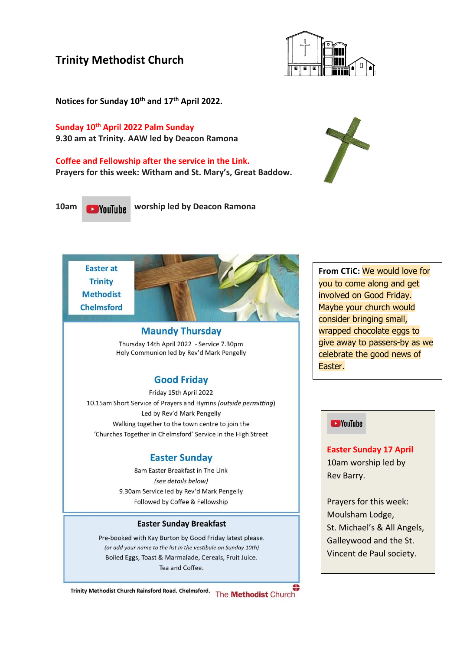## **Trinity Methodist Church**



**Notices for Sunday 10th and 17 th April 2022.**

**Sunday 10th April 2022 Palm Sunday 9.30 am at Trinity. AAW led by Deacon Ramona**

**Coffee and Fellowship after the service in the Link. Prayers for this week: Witham and St. Mary's, Great Baddow.**

**10am worship led by Deacon Ramona** 





### **Maundy Thursday**

Thursday 14th April 2022 - Service 7.30pm Holy Communion led by Rev'd Mark Pengelly

## **Good Friday**

Friday 15th April 2022 10.15am Short Service of Prayers and Hymns (outside permitting) Led by Rev'd Mark Pengelly Walking together to the town centre to join the 'Churches Together in Chelmsford' Service in the High Street

## **Easter Sunday**

8am Easter Breakfast in The Link (see details below) 9.30am Service led by Rev'd Mark Pengelly Followed by Coffee & Fellowship

#### **Easter Sunday Breakfast**

Pre-booked with Kay Burton by Good Friday latest please. (or add your name to the list in the vestibule on Sunday 10th) Boiled Eggs, Toast & Marmalade, Cereals, Fruit Juice. Tea and Coffee.



**From CTiC:** We would love for you to come along and get involved on Good Friday. Maybe your church would consider bringing small, wrapped chocolate eggs to give away to passers-by as we celebrate the good news of Easter.

#### **EXP** YouTube

**Easter Sunday 17 April** 10am worship led by Rev Barry.

Prayers for this week: Moulsham Lodge, St. Michael's & All Angels, Galleywood and the St. Vincent de Paul society.

Trinity Methodist Church Rainsford Road. Chelmsford. The **Methodist** Church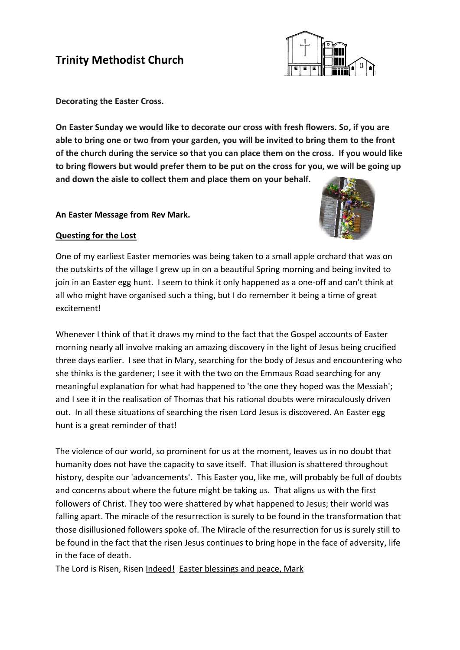# **Trinity Methodist Church**



**Decorating the Easter Cross.**

**On Easter Sunday we would like to decorate our cross with fresh flowers. So, if you are able to bring one or two from your garden, you will be invited to bring them to the front of the church during the service so that you can place them on the cross. If you would like to bring flowers but would prefer them to be put on the cross for you, we will be going up and down the aisle to collect them and place them on your behalf.** 

#### **An Easter Message from Rev Mark.**



### **Questing for the Lost**

One of my earliest Easter memories was being taken to a small apple orchard that was on the outskirts of the village I grew up in on a beautiful Spring morning and being invited to join in an Easter egg hunt. I seem to think it only happened as a one-off and can't think at all who might have organised such a thing, but I do remember it being a time of great excitement!

Whenever I think of that it draws my mind to the fact that the Gospel accounts of Easter morning nearly all involve making an amazing discovery in the light of Jesus being crucified three days earlier. I see that in Mary, searching for the body of Jesus and encountering who she thinks is the gardener; I see it with the two on the Emmaus Road searching for any meaningful explanation for what had happened to 'the one they hoped was the Messiah'; and I see it in the realisation of Thomas that his rational doubts were miraculously driven out. In all these situations of searching the risen Lord Jesus is discovered. An Easter egg hunt is a great reminder of that!

The violence of our world, so prominent for us at the moment, leaves us in no doubt that humanity does not have the capacity to save itself. That illusion is shattered throughout history, despite our 'advancements'. This Easter you, like me, will probably be full of doubts and concerns about where the future might be taking us. That aligns us with the first followers of Christ. They too were shattered by what happened to Jesus; their world was falling apart. The miracle of the resurrection is surely to be found in the transformation that those disillusioned followers spoke of. The Miracle of the resurrection for us is surely still to be found in the fact that the risen Jesus continues to bring hope in the face of adversity, life in the face of death.

The Lord is Risen, Risen Indeed! Easter blessings and peace, Mark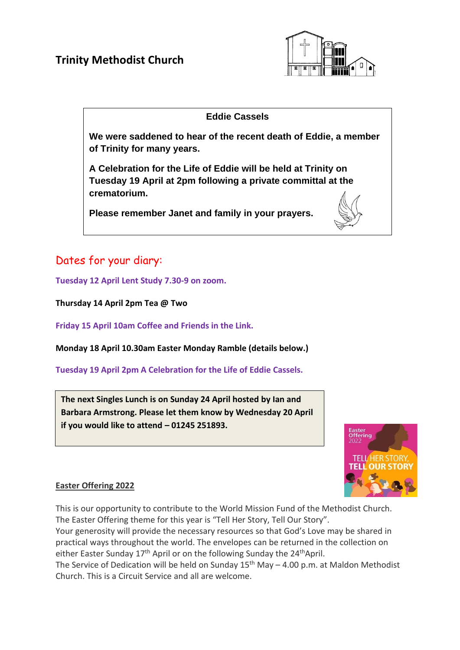

## **Eddie Cassels**

**We were saddened to hear of the recent death of Eddie, a member of Trinity for many years.**

**A Celebration for the Life of Eddie will be held at Trinity on Tuesday 19 April at 2pm following a private committal at the crematorium.**

**Please remember Janet and family in your prayers.**

# Dates for your diary:

**Tuesday 12 April Lent Study 7.30-9 on zoom.**

**Thursday 14 April 2pm Tea @ Two**

**Friday 15 April 10am Coffee and Friends in the Link.**

**Monday 18 April 10.30am Easter Monday Ramble (details below.)**

**Tuesday 19 April 2pm A Celebration for the Life of Eddie Cassels.**

**The next Singles Lunch is on Sunday 24 April hosted by Ian and Barbara Armstrong. Please let them know by Wednesday 20 April if you would like to attend – 01245 251893.**



### **Easter Offering 2022**

This is our opportunity to contribute to the World Mission Fund of the Methodist Church. The Easter Offering theme for this year is "Tell Her Story, Tell Our Story".

Your generosity will provide the necessary resources so that God's Love may be shared in practical ways throughout the world. The envelopes can be returned in the collection on either Easter Sunday  $17<sup>th</sup>$  April or on the following Sunday the 24<sup>th</sup>April.

The Service of Dedication will be held on Sunday  $15<sup>th</sup>$  May – 4.00 p.m. at Maldon Methodist Church. This is a Circuit Service and all are welcome.